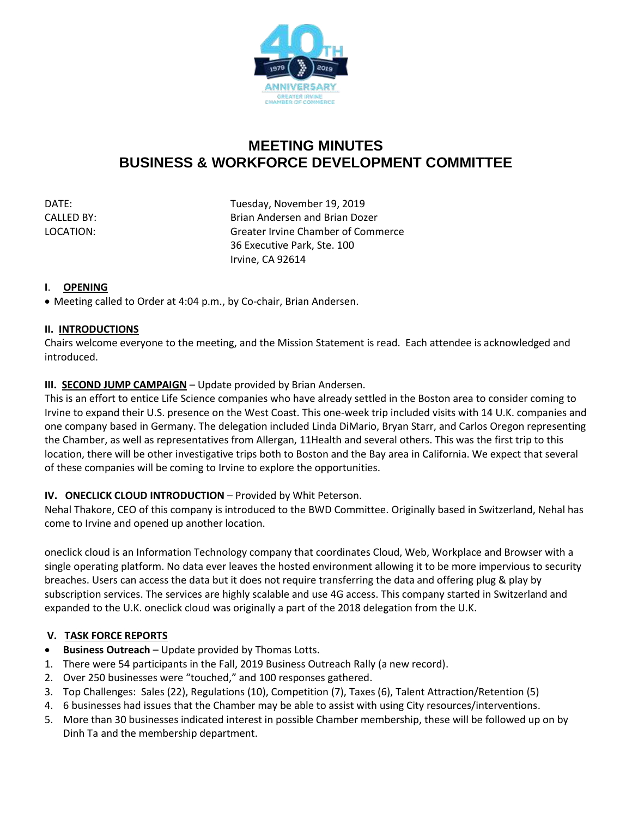

# **MEETING MINUTES BUSINESS & WORKFORCE DEVELOPMENT COMMITTEE**

DATE: DATE: DATE: Tuesday, November 19, 2019 CALLED BY: Brian Andersen and Brian Dozer LOCATION: Greater Irvine Chamber of Commerce 36 Executive Park, Ste. 100 Irvine, CA 92614

### **I**. **OPENING**

• Meeting called to Order at 4:04 p.m., by Co-chair, Brian Andersen.

#### **II. INTRODUCTIONS**

Chairs welcome everyone to the meeting, and the Mission Statement is read. Each attendee is acknowledged and introduced.

# **III. SECOND JUMP CAMPAIGN** – Update provided by Brian Andersen.

This is an effort to entice Life Science companies who have already settled in the Boston area to consider coming to Irvine to expand their U.S. presence on the West Coast. This one-week trip included visits with 14 U.K. companies and one company based in Germany. The delegation included Linda DiMario, Bryan Starr, and Carlos Oregon representing the Chamber, as well as representatives from Allergan, 11Health and several others. This was the first trip to this location, there will be other investigative trips both to Boston and the Bay area in California. We expect that several of these companies will be coming to Irvine to explore the opportunities.

# **IV. ONECLICK CLOUD INTRODUCTION** – Provided by Whit Peterson.

Nehal Thakore, CEO of this company is introduced to the BWD Committee. Originally based in Switzerland, Nehal has come to Irvine and opened up another location.

oneclick cloud is an Information Technology company that coordinates Cloud, Web, Workplace and Browser with a single operating platform. No data ever leaves the hosted environment allowing it to be more impervious to security breaches. Users can access the data but it does not require transferring the data and offering plug & play by subscription services. The services are highly scalable and use 4G access. This company started in Switzerland and expanded to the U.K. oneclick cloud was originally a part of the 2018 delegation from the U.K.

# **V. TASK FORCE REPORTS**

- **Business Outreach** Update provided by Thomas Lotts.
- 1. There were 54 participants in the Fall, 2019 Business Outreach Rally (a new record).
- 2. Over 250 businesses were "touched," and 100 responses gathered.
- 3. Top Challenges: Sales (22), Regulations (10), Competition (7), Taxes (6), Talent Attraction/Retention (5)
- 4. 6 businesses had issues that the Chamber may be able to assist with using City resources/interventions.
- 5. More than 30 businesses indicated interest in possible Chamber membership, these will be followed up on by Dinh Ta and the membership department.